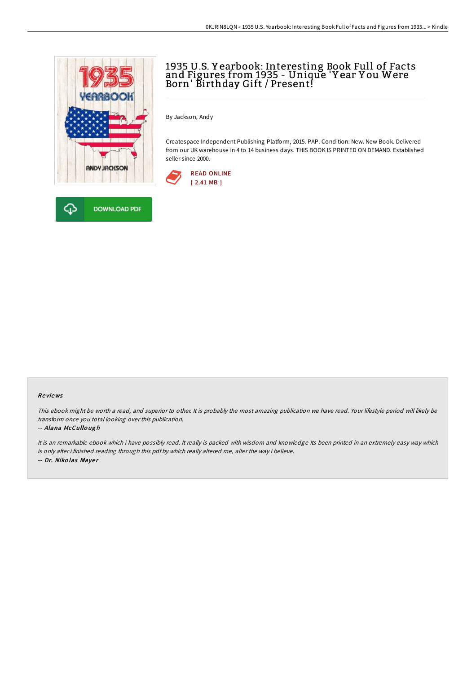



By Jackson, Andy

Createspace Independent Publishing Platform, 2015. PAP. Condition: New. New Book. Delivered from our UK warehouse in 4 to 14 business days. THIS BOOK IS PRINTED ON DEMAND. Established seller since 2000.



## Re views

This ebook might be worth <sup>a</sup> read, and superior to other. It is probably the most amazing publication we have read. Your lifestyle period will likely be transform once you total looking over this publication.

#### -- Alana McCullo ug h

It is an remarkable ebook which i have possibly read. It really is packed with wisdom and knowledge Its been printed in an extremely easy way which is only after i finished reading through this pdf by which really altered me, alter the way i believe. -- Dr. Niko las Maye <sup>r</sup>